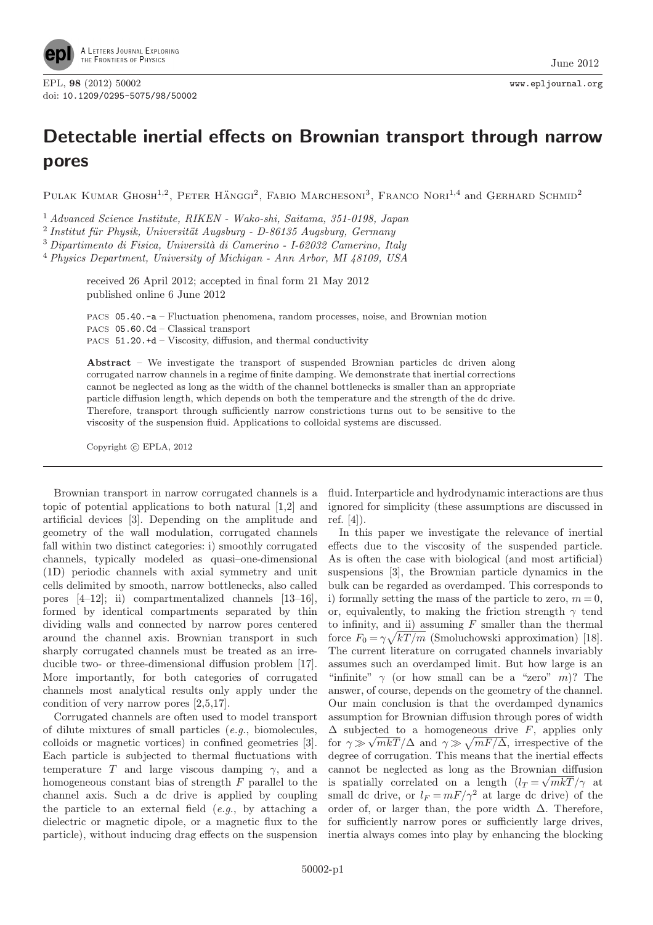

## Detectable inertial effects on Brownian transport through narrow pores

PULAK KUMAR GHOSH<sup>1,2</sup>, PETER HÄNGGI<sup>2</sup>, FABIO MARCHESONI<sup>3</sup>, FRANCO NORI<sup>1,4</sup> and GERHARD SCHMID<sup>2</sup>

<sup>1</sup> Advanced Science Institute, RIKEN - Wako-shi, Saitama, 351-0198, Japan

<sup>2</sup> Institut für Physik, Universität Augsburg - D-86135 Augsburg, Germany

 $3$  Dipartimento di Fisica, Università di Camerino - I-62032 Camerino, Italy

<sup>4</sup> Physics Department, University of Michigan - Ann Arbor, MI 48109, USA

received 26 April 2012; accepted in final form 21 May 2012 published online 6 June 2012

PACS 05.40.-a – Fluctuation phenomena, random processes, noise, and Brownian motion PACS 05.60.Cd – Classical transport PACS 51.20.+d – Viscosity, diffusion, and thermal conductivity

Abstract – We investigate the transport of suspended Brownian particles dc driven along corrugated narrow channels in a regime of finite damping. We demonstrate that inertial corrections cannot be neglected as long as the width of the channel bottlenecks is smaller than an appropriate particle diffusion length, which depends on both the temperature and the strength of the dc drive. Therefore, transport through sufficiently narrow constrictions turns out to be sensitive to the viscosity of the suspension fluid. Applications to colloidal systems are discussed.

Copyright  $\odot$  EPLA, 2012

Brownian transport in narrow corrugated channels is a topic of potential applications to both natural [1,2] and artificial devices [3]. Depending on the amplitude and geometry of the wall modulation, corrugated channels fall within two distinct categories: i) smoothly corrugated channels, typically modeled as quasi–one-dimensional (1D) periodic channels with axial symmetry and unit cells delimited by smooth, narrow bottlenecks, also called pores [4–12]; ii) compartmentalized channels [13–16], formed by identical compartments separated by thin dividing walls and connected by narrow pores centered around the channel axis. Brownian transport in such sharply corrugated channels must be treated as an irreducible two- or three-dimensional diffusion problem [17]. More importantly, for both categories of corrugated channels most analytical results only apply under the condition of very narrow pores [2,5,17].

Corrugated channels are often used to model transport of dilute mixtures of small particles (e.g., biomolecules, colloids or magnetic vortices) in confined geometries [3]. Each particle is subjected to thermal fluctuations with temperature T and large viscous damping  $\gamma$ , and a homogeneous constant bias of strength  $F$  parallel to the channel axis. Such a dc drive is applied by coupling the particle to an external field  $(e.g., by attaching a$ dielectric or magnetic dipole, or a magnetic flux to the particle), without inducing drag effects on the suspension

fluid. Interparticle and hydrodynamic interactions are thus ignored for simplicity (these assumptions are discussed in ref. [4]).

In this paper we investigate the relevance of inertial effects due to the viscosity of the suspended particle. As is often the case with biological (and most artificial) suspensions [3], the Brownian particle dynamics in the bulk can be regarded as overdamped. This corresponds to i) formally setting the mass of the particle to zero,  $m = 0$ , or, equivalently, to making the friction strength  $\gamma$  tend to infinity, and ii) assuming  $F$  smaller than the thermal force  $F_0 = \gamma \sqrt{kT/m}$  (Smoluchowski approximation) [18]. The current literature on corrugated channels invariably assumes such an overdamped limit. But how large is an "infinite"  $\gamma$  (or how small can be a "zero" m)? The answer, of course, depends on the geometry of the channel. Our main conclusion is that the overdamped dynamics assumption for Brownian diffusion through pores of width  $\Delta$  subjected to a homogeneous drive F, applies only  $\frac{\Delta}{\Delta}$  bar, our  $\frac{\Delta}{\Delta}$  and  $\gamma \gg \sqrt{mF/\Delta}$ , irrespective of the degree of corrugation. This means that the inertial effects cannot be neglected as long as the Brownian diffusion is spatially correlated on a length  $(l_T = \sqrt{mkT}/\gamma$  at small dc drive, or  $l_F = mF/\gamma^2$  at large dc drive) of the order of, or larger than, the pore width  $\Delta$ . Therefore, for sufficiently narrow pores or sufficiently large drives, inertia always comes into play by enhancing the blocking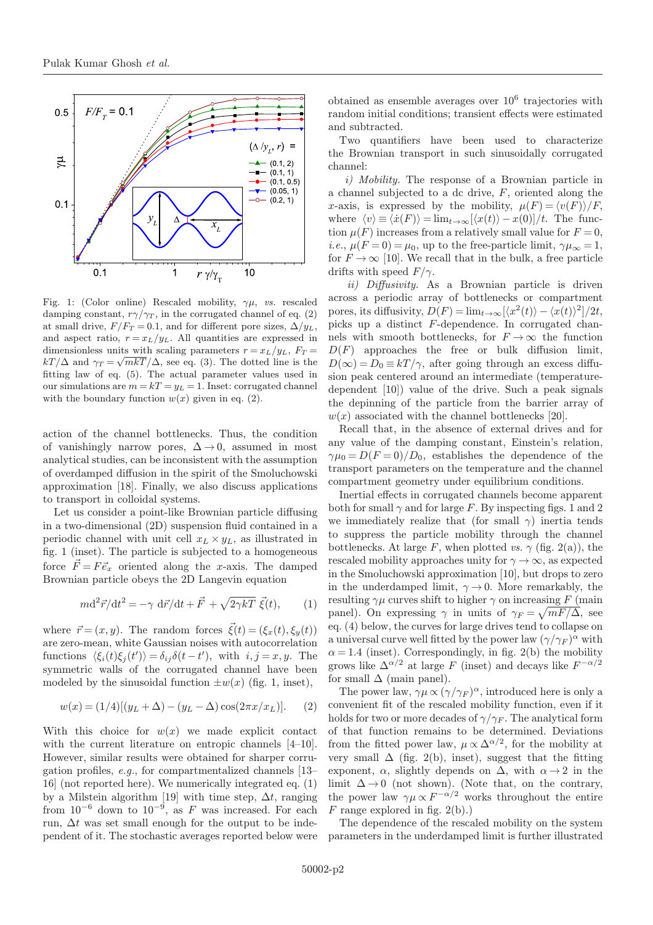

Fig. 1: (Color online) Rescaled mobility,  $\gamma \mu$ , vs. rescaled damping constant,  $r\gamma/\gamma_T$ , in the corrugated channel of eq. (2) at small drive,  $F/F_T = 0.1$ , and for different pore sizes,  $\Delta/y_L$ , and aspect ratio,  $r = x_L/y_L$ . All quantities are expressed in dimensionless units with scaling parameters  $r = x_L/y_L$ ,  $F_T =$  $kT/\Delta$  and  $\gamma_T = \sqrt{mkT}/\Delta$ , see eq. (3). The dotted line is the fitting law of eq. (5). The actual parameter values used in our simulations are  $m = kT = y_L = 1$ . Inset: corrugated channel with the boundary function  $w(x)$  given in eq. (2).

action of the channel bottlenecks. Thus, the condition of vanishingly narrow pores,  $\Delta \rightarrow 0$ , assumed in most analytical studies, can be inconsistent with the assumption of overdamped diffusion in the spirit of the Smoluchowski approximation [18]. Finally, we also discuss applications to transport in colloidal systems.

Let us consider a point-like Brownian particle diffusing in a two-dimensional (2D) suspension fluid contained in a periodic channel with unit cell  $x_L \times y_L$ , as illustrated in fig. 1 (inset). The particle is subjected to a homogeneous force  $\vec{F} = F \vec{e}_x$  oriented along the x-axis. The damped Brownian particle obeys the 2D Langevin equation

$$
m\mathrm{d}^2\vec{r}/\mathrm{d}t^2 = -\gamma \mathrm{d}\vec{r}/\mathrm{d}t + \vec{F} + \sqrt{2\gamma kT} \vec{\xi}(t),\qquad(1)
$$

where  $\vec{r} = (x, y)$ . The random forces  $\vec{\xi}(t) = (\xi_x(t), \xi_y(t))$ are zero-mean, white Gaussian noises with autocorrelation functions  $\langle \xi_i(t) \xi_j(t') \rangle = \delta_{ij} \delta(t-t')$ , with  $i, j = x, y$ . The symmetric walls of the corrugated channel have been modeled by the sinusoidal function  $\pm w(x)$  (fig. 1, inset),

$$
w(x) = (1/4)[(y_L + \Delta) - (y_L - \Delta)\cos(2\pi x/x_L)].
$$
 (2)

With this choice for  $w(x)$  we made explicit contact with the current literature on entropic channels [4–10]. However, similar results were obtained for sharper corrugation profiles, e.g., for compartmentalized channels [13– 16] (not reported here). We numerically integrated eq. (1) by a Milstein algorithm [19] with time step,  $\Delta t$ , ranging from  $10^{-6}$  down to  $10^{-9}$ , as F was increased. For each run,  $\Delta t$  was set small enough for the output to be independent of it. The stochastic averages reported below were

obtained as ensemble averages over  $10^6$  trajectories with random initial conditions; transient effects were estimated and subtracted.

Two quantifiers have been used to characterize the Brownian transport in such sinusoidally corrugated channel:

i) Mobility. The response of a Brownian particle in a channel subjected to a dc drive,  $F$ , oriented along the x-axis, is expressed by the mobility,  $\mu(F) = \langle v(F) \rangle / F$ , where  $\langle v \rangle \equiv \langle \dot{x}(F) \rangle = \lim_{t \to \infty} [\langle x(t) \rangle - x(0)]/t$ . The function  $\mu(F)$  increases from a relatively small value for  $F = 0$ , *i.e.*,  $\mu(F=0) = \mu_0$ , up to the free-particle limit,  $\gamma \mu_{\infty} = 1$ , for  $F \to \infty$  [10]. We recall that in the bulk, a free particle drifts with speed  $F/\gamma$ .

ii) Diffusivity. As a Brownian particle is driven across a periodic array of bottlenecks or compartment pores, its diffusivity,  $D(F) = \lim_{t \to \infty} [\langle x^2(t) \rangle - \langle x(t) \rangle^2]/2t$ , picks up a distinct F-dependence. In corrugated channels with smooth bottlenecks, for  $F \to \infty$  the function  $D(F)$  approaches the free or bulk diffusion limit,  $D(\infty) = D_0 \equiv kT/\gamma$ , after going through an excess diffusion peak centered around an intermediate (temperaturedependent [10]) value of the drive. Such a peak signals the depinning of the particle from the barrier array of  $w(x)$  associated with the channel bottlenecks [20].

Recall that, in the absence of external drives and for any value of the damping constant, Einstein's relation,  $\gamma\mu_0 = D(F=0)/D_0$ , establishes the dependence of the transport parameters on the temperature and the channel compartment geometry under equilibrium conditions.

Inertial effects in corrugated channels become apparent both for small  $\gamma$  and for large F. By inspecting figs. 1 and 2 we immediately realize that (for small  $\gamma$ ) inertia tends to suppress the particle mobility through the channel bottlenecks. At large F, when plotted vs.  $\gamma$  (fig. 2(a)), the rescaled mobility approaches unity for  $\gamma \to \infty$ , as expected in the Smoluchowski approximation [10], but drops to zero in the underdamped limit,  $\gamma \rightarrow 0$ . More remarkably, the resulting  $\gamma\mu$  curves shift to higher  $\gamma$  on increasing F (main panel). On expressing  $\gamma$  in units of  $\gamma_F = \sqrt{mF/\Delta}$ , see eq. (4) below, the curves for large drives tend to collapse on a universal curve well fitted by the power law  $(\gamma/\gamma_F)^{\alpha}$  with  $\alpha = 1.4$  (inset). Correspondingly, in fig. 2(b) the mobility grows like  $\Delta^{\alpha/2}$  at large F (inset) and decays like  $F^{-\alpha/2}$ for small  $\Delta$  (main panel).

The power law,  $\gamma \mu \propto (\gamma/\gamma_F)^{\alpha}$ , introduced here is only a convenient fit of the rescaled mobility function, even if it holds for two or more decades of  $\gamma/\gamma_F$ . The analytical form of that function remains to be determined. Deviations from the fitted power law,  $\mu \propto \Delta^{\alpha/2}$ , for the mobility at very small  $\Delta$  (fig. 2(b), inset), suggest that the fitting exponent,  $\alpha$ , slightly depends on  $\Delta$ , with  $\alpha \rightarrow 2$  in the limit  $\Delta \rightarrow 0$  (not shown). (Note that, on the contrary, the power law  $\gamma \mu \propto F^{-\alpha/2}$  works throughout the entire  $F$  range explored in fig. 2(b).)

The dependence of the rescaled mobility on the system parameters in the underdamped limit is further illustrated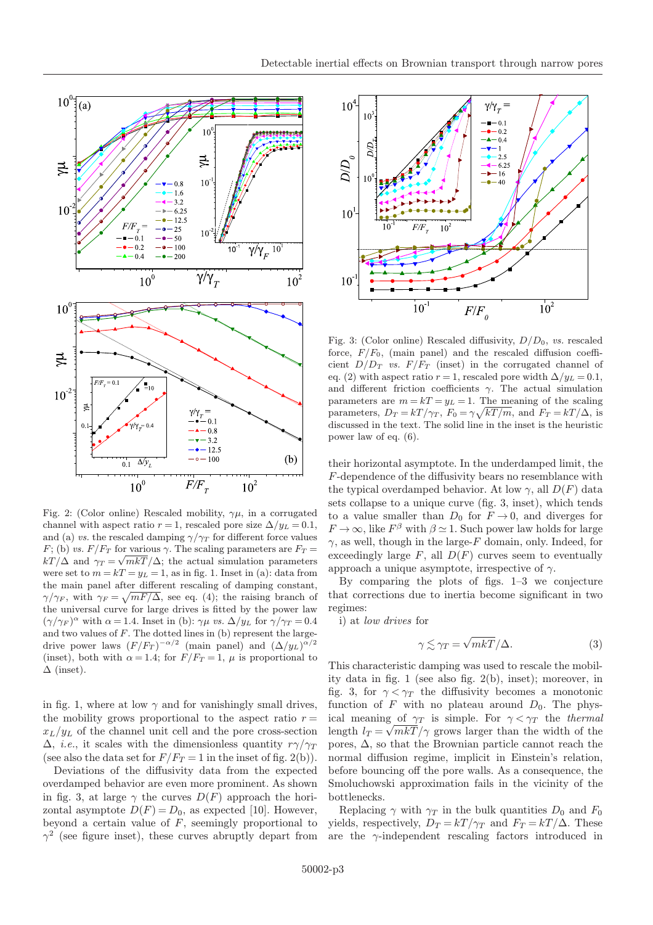



Fig. 2: (Color online) Rescaled mobility,  $\gamma\mu$ , in a corrugated channel with aspect ratio  $r = 1$ , rescaled pore size  $\Delta / y_L = 0.1$ , and (a) vs. the rescaled damping  $\gamma/\gamma_T$  for different force values F; (b) vs.  $F/F_T$  for various  $\gamma$ . The scaling parameters are  $F_T =$  $kT/\Delta$  and  $\gamma_T = \sqrt{mkT}/\Delta$ ; the actual simulation parameters were set to  $m = kT = y_L = 1$ , as in fig. 1. Inset in (a): data from the main panel after different rescaling of damping constant,  $\gamma/\gamma_F$ , with  $\gamma_F = \sqrt{mF/\Delta}$ , see eq. (4); the raising branch of the universal curve for large drives is fitted by the power law  $(\gamma/\gamma_F)^{\alpha}$  with  $\alpha = 1.4$ . Inset in (b):  $\gamma \mu$  vs.  $\Delta/y_L$  for  $\gamma/\gamma_T = 0.4$ and two values of  $F$ . The dotted lines in (b) represent the largedrive power laws  $(F/F_T)^{-\alpha/2}$  (main panel) and  $(\Delta/y_L)^{\alpha/2}$ (inset), both with  $\alpha = 1.4$ ; for  $F/F_T = 1$ ,  $\mu$  is proportional to  $\Delta$  (inset).

in fig. 1, where at low  $\gamma$  and for vanishingly small drives, the mobility grows proportional to the aspect ratio  $r =$  $x_L/y_L$  of the channel unit cell and the pore cross-section  $\Delta$ , *i.e.*, it scales with the dimensionless quantity  $r\gamma/\gamma_T$ (see also the data set for  $F/F_T = 1$  in the inset of fig. 2(b)).

Deviations of the diffusivity data from the expected overdamped behavior are even more prominent. As shown in fig. 3, at large  $\gamma$  the curves  $D(F)$  approach the horizontal asymptote  $D(F) = D_0$ , as expected [10]. However, beyond a certain value of  $F$ , seemingly proportional to  $\gamma^2$  (see figure inset), these curves abruptly depart from



Fig. 3: (Color online) Rescaled diffusivity,  $D/D_0$ , vs. rescaled force,  $F/F_0$ , (main panel) and the rescaled diffusion coefficient  $D/D_T$  vs.  $F/F_T$  (inset) in the corrugated channel of eq. (2) with aspect ratio  $r = 1$ , rescaled pore width  $\Delta/y_L = 0.1$ , and different friction coefficients  $\gamma$ . The actual simulation parameters are  $m = kT = y_L = 1$ . The meaning of the scaling parameters,  $D_T = kT/\gamma_T$ ,  $F_0 = \gamma \sqrt{kT/m}$ , and  $F_T = kT/\Delta$ , is discussed in the text. The solid line in the inset is the heuristic power law of eq. (6).

their horizontal asymptote. In the underdamped limit, the F-dependence of the diffusivity bears no resemblance with the typical overdamped behavior. At low  $\gamma$ , all  $D(F)$  data sets collapse to a unique curve (fig. 3, inset), which tends to a value smaller than  $D_0$  for  $F \to 0$ , and diverges for  $F \to \infty$ , like  $F^{\beta}$  with  $\beta \simeq 1$ . Such power law holds for large  $\gamma$ , as well, though in the large-F domain, only. Indeed, for exceedingly large  $F$ , all  $D(F)$  curves seem to eventually approach a unique asymptote, irrespective of  $\gamma$ .

By comparing the plots of figs. 1–3 we conjecture that corrections due to inertia become significant in two regimes:

i) at low drives for

$$
\gamma \lesssim \gamma_T = \sqrt{mk}T/\Delta. \tag{3}
$$

This characteristic damping was used to rescale the mobility data in fig. 1 (see also fig. 2(b), inset); moreover, in fig. 3, for  $\gamma < \gamma_T$  the diffusivity becomes a monotonic function of F with no plateau around  $D_0$ . The physical meaning of  $\gamma_T$  is simple. For  $\gamma < \gamma_T$  the thermal length  $l_T = \sqrt{mkT}/\gamma$  grows larger than the width of the pores,  $\Delta$ , so that the Brownian particle cannot reach the normal diffusion regime, implicit in Einstein's relation, before bouncing off the pore walls. As a consequence, the Smoluchowski approximation fails in the vicinity of the bottlenecks.

Replacing  $\gamma$  with  $\gamma_T$  in the bulk quantities  $D_0$  and  $F_0$ yields, respectively,  $D_T = kT/\gamma_T$  and  $F_T = kT/\Delta$ . These are the  $\gamma$ -independent rescaling factors introduced in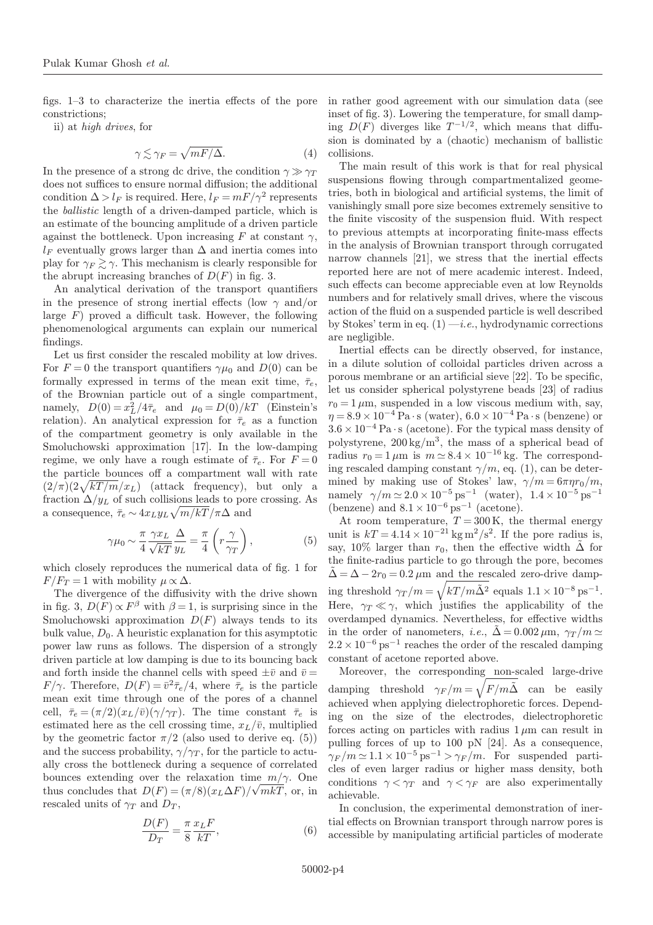figs. 1–3 to characterize the inertia effects of the pore constrictions;

ii) at high drives, for

$$
\gamma \lesssim \gamma_F = \sqrt{mF/\Delta}.\tag{4}
$$

In the presence of a strong dc drive, the condition  $\gamma \gg \gamma_T$ does not suffices to ensure normal diffusion; the additional condition  $\Delta > l_F$  is required. Here,  $l_F = mF/\gamma^2$  represents the ballistic length of a driven-damped particle, which is an estimate of the bouncing amplitude of a driven particle against the bottleneck. Upon increasing F at constant  $\gamma$ ,  $l_F$  eventually grows larger than  $\Delta$  and inertia comes into play for  $\gamma_F \gtrsim \gamma$ . This mechanism is clearly responsible for the abrupt increasing branches of  $D(F)$  in fig. 3.

An analytical derivation of the transport quantifiers in the presence of strong inertial effects (low  $\gamma$  and/or large  $F$ ) proved a difficult task. However, the following phenomenological arguments can explain our numerical findings.

Let us first consider the rescaled mobility at low drives. For  $F = 0$  the transport quantifiers  $\gamma \mu_0$  and  $D(0)$  can be formally expressed in terms of the mean exit time,  $\bar{\tau}_e$ , of the Brownian particle out of a single compartment, namely,  $D(0) = x_L^2/4\bar{\tau}_e$  and  $\mu_0 = D(0)/kT$  (Einstein's relation). An analytical expression for  $\bar{\tau}_e$  as a function of the compartment geometry is only available in the Smoluchowski approximation [17]. In the low-damping regime, we only have a rough estimate of  $\bar{\tau}_e$ . For  $F = 0$ the particle bounces off a compartment wall with rate  $\left(2/\pi\right)\left(2\sqrt{kT/m}/x_L\right)$  (attack frequency), but only a fraction  $\Delta/y_L$  of such collisions leads to pore crossing. As a consequence,  $\bar{\tau}_e \sim 4x_L y_L \sqrt{m/kT}/\pi\Delta$  and

$$
\gamma \mu_0 \sim \frac{\pi}{4} \frac{\gamma x_L}{\sqrt{kT}} \frac{\Delta}{y_L} = \frac{\pi}{4} \left( r \frac{\gamma}{\gamma_T} \right),\tag{5}
$$

which closely reproduces the numerical data of fig. 1 for  $F/F_T = 1$  with mobility  $\mu \propto \Delta$ .

The divergence of the diffusivity with the drive shown in fig. 3,  $D(F) \propto F^{\beta}$  with  $\beta = 1$ , is surprising since in the Smoluchowski approximation  $D(F)$  always tends to its bulk value,  $D_0$ . A heuristic explanation for this asymptotic power law runs as follows. The dispersion of a strongly driven particle at low damping is due to its bouncing back and forth inside the channel cells with speed  $\pm \bar{v}$  and  $\bar{v} =$  $F/\gamma$ . Therefore,  $D(F) = \bar{v}^2 \bar{\tau}_e/4$ , where  $\bar{\tau}_e$  is the particle mean exit time through one of the pores of a channel cell,  $\bar{\tau}_e = (\pi/2)(x_L/\bar{v})(\gamma/\gamma_T)$ . The time constant  $\bar{\tau}_e$  is estimated here as the cell crossing time,  $x_L/\bar{v}$ , multiplied by the geometric factor  $\pi/2$  (also used to derive eq. (5)) and the success probability,  $\gamma/\gamma_T$ , for the particle to actually cross the bottleneck during a sequence of correlated bounces extending over the relaxation time  $m/\gamma$ . One thus concludes that  $D(F) = (\pi/8)(x_L\Delta F)/\sqrt{mkT}$ , or, in rescaled units of  $\gamma_T$  and  $D_T$ ,

$$
\frac{D(F)}{D_T} = \frac{\pi}{8} \frac{x_L F}{kT},\tag{6}
$$

in rather good agreement with our simulation data (see inset of fig. 3). Lowering the temperature, for small damping  $D(F)$  diverges like  $T^{-1/2}$ , which means that diffusion is dominated by a (chaotic) mechanism of ballistic collisions.

The main result of this work is that for real physical suspensions flowing through compartmentalized geometries, both in biological and artificial systems, the limit of vanishingly small pore size becomes extremely sensitive to the finite viscosity of the suspension fluid. With respect to previous attempts at incorporating finite-mass effects in the analysis of Brownian transport through corrugated narrow channels [21], we stress that the inertial effects reported here are not of mere academic interest. Indeed, such effects can become appreciable even at low Reynolds numbers and for relatively small drives, where the viscous action of the fluid on a suspended particle is well described by Stokes' term in eq.  $(1) - i.e.,$  hydrodynamic corrections are negligible.

Inertial effects can be directly observed, for instance, in a dilute solution of colloidal particles driven across a porous membrane or an artificial sieve [22]. To be specific, let us consider spherical polystyrene beads [23] of radius  $r_0 = 1 \,\mu\text{m}$ , suspended in a low viscous medium with, say,  $\eta = 8.9 \times 10^{-4}$  Pa·s (water),  $6.0 \times 10^{-4}$  Pa·s (benzene) or  $3.6 \times 10^{-4}$  Pa $\cdot$ s (acetone). For the typical mass density of polystyrene,  $200 \text{ kg/m}^3$ , the mass of a spherical bead of radius  $r_0 = 1 \mu m$  is  $m \approx 8.4 \times 10^{-16}$  kg. The corresponding rescaled damping constant  $\gamma/m$ , eq. (1), can be determined by making use of Stokes' law,  $\gamma/m = 6\pi \eta r_0/m$ , namely  $\gamma/m \simeq 2.0 \times 10^{-5} \text{ ps}^{-1}$  (water),  $1.4 \times 10^{-5} \text{ ps}^{-1}$ (benzene) and  $8.1 \times 10^{-6}$  ps<sup>-1</sup> (acetone).

At room temperature,  $T = 300 \text{ K}$ , the thermal energy unit is  $kT = 4.14 \times 10^{-21}$  kg m<sup>2</sup>/s<sup>2</sup>. If the pore radius is, say, 10% larger than  $r_0$ , then the effective width  $\tilde{\Delta}$  for the finite-radius particle to go through the pore, becomes  $\tilde{\Delta} = \Delta - 2r_0 = 0.2 \mu m$  and the rescaled zero-drive damping threshold  $\gamma_T/m = \sqrt{kT/m\tilde{\Delta}^2}$  equals  $1.1 \times 10^{-8} \text{ ps}^{-1}$ . Here,  $\gamma_T \ll \gamma$ , which justifies the applicability of the overdamped dynamics. Nevertheless, for effective widths in the order of nanometers, i.e.,  $\tilde{\Delta} = 0.002 \,\mu \text{m}$ ,  $\gamma_T / m \simeq$  $2.2\times10^{-6}\,\mathrm{ps^{-1}}$  reaches the order of the rescaled damping constant of acetone reported above.

Moreover, the corresponding non-scaled large-drive damping threshold  $\gamma_F/m = \sqrt{F/m\tilde{\Delta}}$  can be easily achieved when applying dielectrophoretic forces. Depending on the size of the electrodes, dielectrophoretic forces acting on particles with radius  $1 \mu m$  can result in pulling forces of up to 100 pN [24]. As a consequence,  $\gamma_F / m \simeq 1.1 \times 10^{-5} \text{ ps}^{-1} > \gamma_F / m$ . For suspended particles of even larger radius or higher mass density, both conditions  $\gamma < \gamma_T$  and  $\gamma < \gamma_F$  are also experimentally achievable.

In conclusion, the experimental demonstration of inertial effects on Brownian transport through narrow pores is accessible by manipulating artificial particles of moderate